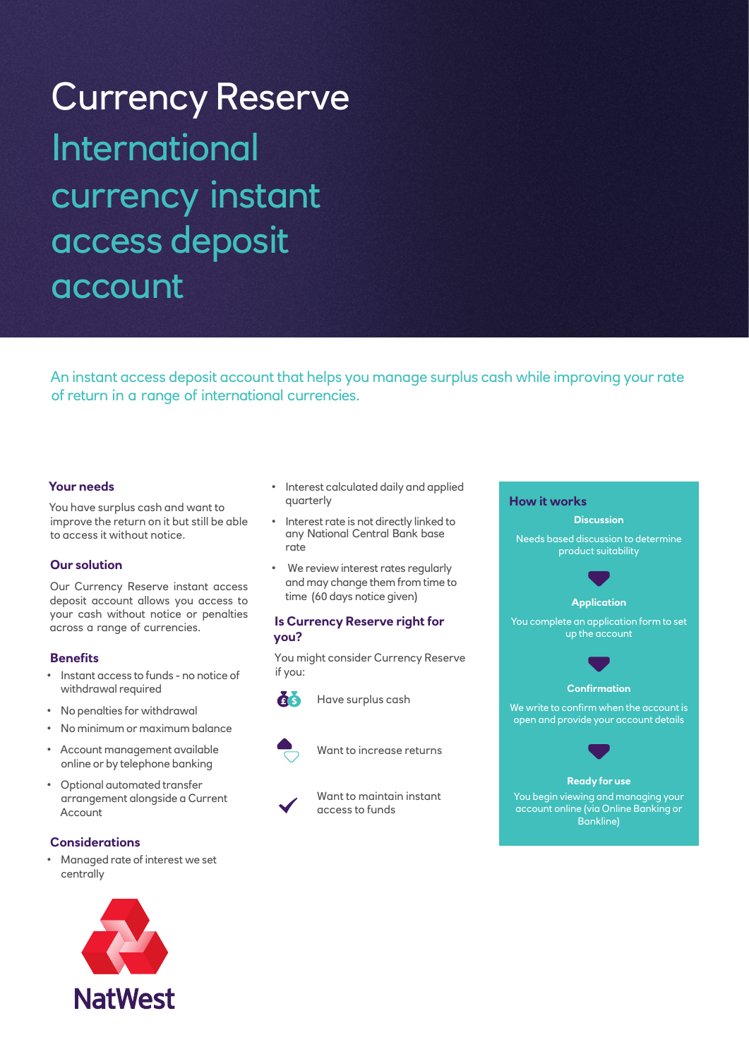# Currency Reserve International currency instant access deposit account

An instant access deposit account that helps you manage surplus cash while improving your rate of return in a range of international currencies.

## **Your needs**

You have surplus cash and want to improve the return on it but still be able to access it without notice.

## **Our solution**

Our Currency Reserve instant access deposit account allows you access to your cash without notice or penalties across a range of currencies.

## **Benefits**

- • Instant access to funds no notice of withdrawal required
- • No penalties for withdrawal
- • No minimum or maximum balance
- • Account management available online or by telephone banking
- • Optional automated transfer arrangement alongside a Current Account

#### **Considerations**

• Managed rate of interest we set centrally

- Interest calculated daily and applied quarterly
- Interest rate is not directly linked to any National Central Bank base rate
- We review interest rates regularly and may change them from time to time (60 days notice given)

## **Is Currency Reserve right for you?**

You might consider Currency Reserve if you:



Have surplus cash



Want to increase returns

Want to maintain instant access to funds